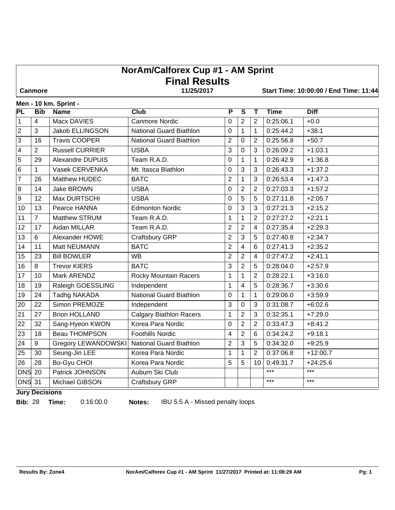# **NorAm/Calforex Cup #1 - AM Sprint Final Results**

 **Canmore 11/25/2017 Start Time: 10:00:00 / End Time: 11:44**

#### **Men - 10 km. Sprint -**

| <b>PL</b>               | <b>Bib</b>     | . <b>.</b><br><b>Name</b>  | Club                           | $\overline{\mathsf{P}}$ | $\overline{\mathsf{s}}$ | $\mathbf T$             | <b>Time</b> | <b>Diff</b> |
|-------------------------|----------------|----------------------------|--------------------------------|-------------------------|-------------------------|-------------------------|-------------|-------------|
| $\mathbf{1}$            | $\overline{4}$ | Macx DAVIES                | <b>Canmore Nordic</b>          | $\mathbf 0$             | 2                       | $\overline{2}$          | 0:25:06.1   | $+0.0$      |
| $\mathbf 2$             | 3              | Jakob ELLINGSON            | <b>National Guard Biathlon</b> | $\mathbf 0$             | $\mathbf{1}$            | 1                       | 0:25:44.2   | $+38.1$     |
| 3                       | 16             | <b>Travis COOPER</b>       | National Guard Biathlon        | $\overline{2}$          | $\Omega$                | $\overline{2}$          | 0:25:56.8   | $+50.7$     |
| $\overline{\mathbf{4}}$ | 2              | <b>Russell CURRIER</b>     | <b>USBA</b>                    | 3                       | $\overline{0}$          | 3                       | 0:26:09.2   | $+1:03.1$   |
| 5                       | 29             | Alexandre DUPUIS           | Team R.A.D.                    | 0                       | 1                       | $\mathbf 1$             | 0:26:42.9   | $+1:36.8$   |
| 6                       | $\mathbf{1}$   | Vasek CERVENKA             | Mt. Itasca Biathlon            | 0                       | 3                       | 3                       | 0:26:43.3   | $+1:37.2$   |
| 7                       | 26             | Matthew HUDEC              | <b>BATC</b>                    | $\mathbf 2$             | 1                       | 3                       | 0:26:53.4   | $+1:47.3$   |
| $\overline{8}$          | 14             | Jake BROWN                 | <b>USBA</b>                    | 0                       | $\overline{2}$          | $\overline{2}$          | 0:27:03.3   | $+1:57.2$   |
| 9                       | 12             | Max DURTSCHI               | <b>USBA</b>                    | 0                       | 5                       | 5                       | 0:27:11.8   | $+2:05.7$   |
| 10                      | 13             | Pearce HANNA               | <b>Edmonton Nordic</b>         | 0                       | 3                       | 3                       | 0:27:21.3   | $+2:15.2$   |
| 11                      | $\overline{7}$ | Matthew STRUM              | Team R.A.D.                    | 1                       | 1                       | $\overline{2}$          | 0:27:27.2   | $+2:21.1$   |
| 12                      | 17             | Aidan MILLAR               | Team R.A.D.                    | $\overline{2}$          | $\overline{2}$          | $\overline{\mathbf{4}}$ | 0:27:35.4   | $+2:29.3$   |
| 13                      | 6              | Alexander HOWE             | Craftsbury GRP                 | $\overline{2}$          | 3                       | 5                       | 0:27:40.8   | $+2:34.7$   |
| 14                      | 11             | Matt NEUMANN               | <b>BATC</b>                    | $\overline{2}$          | 4                       | 6                       | 0:27:41.3   | $+2:35.2$   |
| 15                      | 23             | <b>Bill BOWLER</b>         | <b>WB</b>                      | $\overline{2}$          | $\overline{2}$          | $\overline{4}$          | 0:27:47.2   | $+2:41.1$   |
| 16                      | 8              | <b>Trevor KIERS</b>        | <b>BATC</b>                    | 3                       | $\overline{2}$          | 5                       | 0:28:04.0   | $+2:57.9$   |
| 17                      | 10             | Mark ARENDZ                | Rocky Mountain Racers          | $\mathbf{1}$            | $\mathbf 1$             | 2                       | 0:28:22.1   | $+3:16.0$   |
| 18                      | 19             | Raleigh GOESSLING          | Independent                    | 1                       | 4                       | 5                       | 0:28:36.7   | $+3:30.6$   |
| 19                      | 24             | <b>Tadhg NAKADA</b>        | <b>National Guard Biathlon</b> | $\boldsymbol{0}$        | $\mathbf{1}$            | $\mathbf{1}$            | 0:29:06.0   | $+3:59.9$   |
| 20                      | 22             | Simon PREMOZE              | Independent                    | 3                       | $\mathbf 0$             | 3                       | 0:31:08.7   | $+6:02.6$   |
| 21                      | 27             | <b>Brion HOLLAND</b>       | <b>Calgary Biathlon Racers</b> | $\mathbf{1}$            | 2                       | 3                       | 0:32:35.1   | $+7:29.0$   |
| 22                      | 32             | Sang-Hyeon KWON            | Korea Para Nordic              | $\mathbf 0$             | 2                       | $\overline{2}$          | 0:33:47.3   | $+8:41.2$   |
| 23                      | 18             | <b>Beau THOMPSON</b>       | <b>Foothills Nordic</b>        | $\overline{\mathbf{4}}$ | $\overline{2}$          | 6                       | 0:34:24.2   | $+9:18.1$   |
| 24                      | 9              | <b>Gregory LEWANDOWSKI</b> | <b>National Guard Biathlon</b> | $\overline{2}$          | 3                       | 5                       | 0:34:32.0   | $+9:25.9$   |
| 25                      | 30             | Seung-Jin LEE              | Korea Para Nordic              | 1                       | 1                       | 2                       | 0:37:06.8   | $+12:00.7$  |
| 26                      | 28             | Bo-Gyu CHOI                | Korea Para Nordic              | 5                       | 5                       | 10                      | 0:49:31.7   | $+24:25.6$  |
| <b>DNS</b> 20           |                | Patrick JOHNSON            | Auburn Ski Club                |                         |                         |                         | $***$       | $***$       |
| <b>DNS</b> 31           |                | Michael GIBSON             | Craftsbury GRP                 |                         |                         |                         | ***         | $***$       |

**Jury Decisions**

**Bib:** 28 **Time:** 0:16:00.0 **Notes:** IBU 5.5 A - Missed penalty loops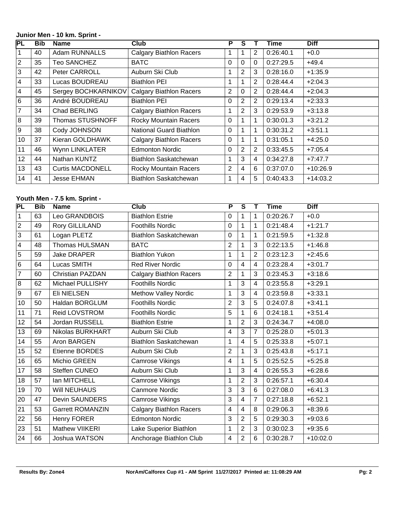#### **Junior Men - 10 km. Sprint -**

| PL              | <b>Bib</b> | <b>Name</b>             | Club                           | P              | S              |                | Time      | <b>Diff</b> |
|-----------------|------------|-------------------------|--------------------------------|----------------|----------------|----------------|-----------|-------------|
| 1               | 40         | Adam RUNNALLS           | <b>Calgary Biathlon Racers</b> |                |                | 2              | 0:26:40.1 | $+0.0$      |
| $ 2\rangle$     | 35         | <b>Teo SANCHEZ</b>      | <b>BATC</b>                    | 0              | 0              | $\Omega$       | 0:27:29.5 | $+49.4$     |
| 3               | 42         | Peter CARROLL           | Auburn Ski Club                | 1              | 2              | 3              | 0:28:16.0 | $+1:35.9$   |
| 4               | 33         | Lucas BOUDREAU          | <b>Biathlon PEI</b>            | 1              |                | $\overline{2}$ | 0:28:44.4 | $+2:04.3$   |
| $\overline{4}$  | 45         | Sergey BOCHKARNIKOV     | <b>Calgary Biathlon Racers</b> | $\overline{2}$ | 0              | $\overline{2}$ | 0:28:44.4 | $+2:04.3$   |
| l 6             | 36         | André BOUDREAU          | <b>Biathlon PEI</b>            | 0              | $\overline{2}$ | 2              | 0:29:13.4 | $+2:33.3$   |
| $\overline{7}$  | 34         | Chad BERLING            | <b>Calgary Biathlon Racers</b> | 1              | $\overline{2}$ | 3              | 0:29:53.9 | $+3:13.8$   |
| 8               | 39         | Thomas STUSHNOFF        | Rocky Mountain Racers          | $\Omega$       |                | 1              | 0:30:01.3 | $+3:21.2$   |
| l 9             | 38         | Cody JOHNSON            | <b>National Guard Biathlon</b> | 0              |                | 1              | 0:30:31.2 | $+3:51.1$   |
| 10 <sup>1</sup> | 37         | Kieran GOLDHAWK         | <b>Calgary Biathlon Racers</b> | 0              |                | 1              | 0:31:05.1 | $+4:25.0$   |
| 11              | 46         | Wynn LINKLATER          | <b>Edmonton Nordic</b>         | 0              | $\overline{2}$ | $\overline{2}$ | 0:33:45.5 | $+7:05.4$   |
| 12 <sub>2</sub> | 44         | Nathan KUNTZ            | Biathlon Saskatchewan          | 1              | 3              | $\overline{4}$ | 0:34:27.8 | $+7:47.7$   |
| 13              | 43         | <b>Curtis MACDONELL</b> | Rocky Mountain Racers          | $\overline{2}$ | 4              | 6              | 0:37:07.0 | $+10:26.9$  |
| 14              | 41         | <b>Jesse EHMAN</b>      | Biathlon Saskatchewan          | 1              | 4              | 5              | 0:40:43.3 | $+14:03.2$  |

## **Youth Men - 7.5 km. Sprint -**

| PL              | <b>Bib</b> | <b>Name</b>             | $\overline{\text{Club}}$       | $\overline{\mathsf{P}}$ | $\overline{\mathsf{s}}$ | т              | <b>Time</b> | <b>Diff</b> |
|-----------------|------------|-------------------------|--------------------------------|-------------------------|-------------------------|----------------|-------------|-------------|
| $\vert$ 1       | 63         | Leo GRANDBOIS           | <b>Biathlon Estrie</b>         | 0                       |                         | 1              | 0:20:26.7   | $+0.0$      |
| $\sqrt{2}$      | 49         | Rory GILLILAND          | <b>Foothills Nordic</b>        | 0                       |                         | $\mathbf 1$    | 0:21:48.4   | $+1:21.7$   |
| $\overline{3}$  | 61         | Logan PLETZ             | <b>Biathlon Saskatchewan</b>   | 0                       |                         | $\mathbf 1$    | 0:21:59.5   | $+1:32.8$   |
| $\vert$ 4       | 48         | Thomas HULSMAN          | <b>BATC</b>                    | 2                       |                         | 3              | 0:22:13.5   | $+1:46.8$   |
| $\overline{5}$  | 59         | <b>Jake DRAPER</b>      | <b>Biathlon Yukon</b>          | 1                       |                         | $\overline{2}$ | 0:23:12.3   | $+2:45.6$   |
| $\overline{6}$  | 64         | Lucas SMITH             | <b>Red River Nordic</b>        | 0                       | 4                       | 4              | 0:23:28.4   | $+3:01.7$   |
| 7               | 60         | <b>Christian PAZDAN</b> | <b>Calgary Biathlon Racers</b> | $\overline{2}$          |                         | 3              | 0:23:45.3   | $+3:18.6$   |
| $\overline{8}$  | 62         | Michael PULLISHY        | <b>Foothills Nordic</b>        | 1                       | 3                       | 4              | 0:23:55.8   | $+3:29.1$   |
| $\overline{9}$  | 67         | <b>Eli NIELSEN</b>      | Methow Valley Nordic           | 1                       | 3                       | 4              | 0:23:59.8   | $+3:33.1$   |
| 10              | 50         | Haldan BORGLUM          | <b>Foothills Nordic</b>        | $\overline{2}$          | 3                       | 5              | 0:24:07.8   | $+3:41.1$   |
| 11              | 71         | Reid LOVSTROM           | <b>Foothills Nordic</b>        | 5                       |                         | 6              | 0:24:18.1   | $+3:51.4$   |
| 12              | 54         | Jordan RUSSELL          | <b>Biathlon Estrie</b>         | 1                       | $\overline{2}$          | 3              | 0:24:34.7   | $+4:08.0$   |
| 13              | 69         | Nikolas BURKHART        | Auburn Ski Club                | 4                       | 3                       | $\overline{7}$ | 0:25:28.0   | $+5:01.3$   |
| 14              | 55         | Aron BARGEN             | <b>Biathlon Saskatchewan</b>   | 1                       | $\overline{4}$          | 5              | 0:25:33.8   | $+5:07.1$   |
| 15              | 52         | Etienne BORDES          | Auburn Ski Club                | $\overline{2}$          |                         | 3              | 0:25:43.8   | $+5:17.1$   |
| 16              | 65         | Michio GREEN            | Camrose Vikings                | $\overline{\mathbf{4}}$ |                         | 5              | 0:25:52.5   | $+5:25.8$   |
| 17              | 58         | Steffen CUNEO           | Auburn Ski Club                | 1                       | 3                       | $\overline{4}$ | 0:26:55.3   | $+6:28.6$   |
| 18              | 57         | lan MITCHELL            | <b>Camrose Vikings</b>         | 1                       | $\overline{2}$          | 3              | 0:26:57.1   | $+6:30.4$   |
| 19              | 70         | <b>Will NEUHAUS</b>     | Canmore Nordic                 | 3                       | 3                       | 6              | 0:27:08.0   | $+6:41.3$   |
| 20              | 47         | Devin SAUNDERS          | Camrose Vikings                | 3                       | $\overline{4}$          | $\overline{7}$ | 0:27:18.8   | $+6:52.1$   |
| $\overline{21}$ | 53         | <b>Garrett ROMANZIN</b> | <b>Calgary Biathlon Racers</b> | 4                       | $\overline{4}$          | 8              | 0:29:06.3   | $+8:39.6$   |
| 22              | 56         | Henry FORER             | <b>Edmonton Nordic</b>         | 3                       | $\overline{2}$          | 5              | 0:29:30.3   | $+9:03.6$   |
| 23              | 51         | Mathew VIIKERI          | Lake Superior Biathlon         | 1                       | $\overline{2}$          | 3              | 0:30:02.3   | $+9:35.6$   |
| 24              | 66         | Joshua WATSON           | Anchorage Biathlon Club        | 4                       | $\overline{2}$          | 6              | 0:30:28.7   | $+10:02.0$  |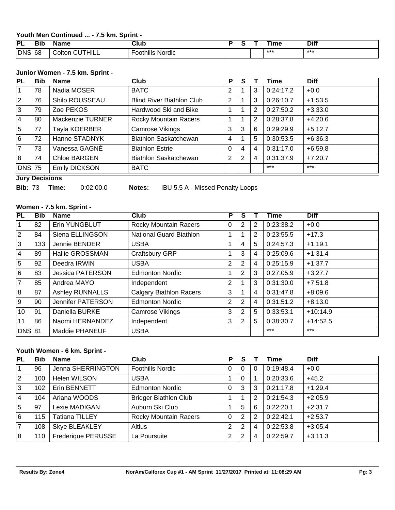#### **Youth Men Continued ... - 7.5 km. Sprint -**

| DΙ<br>--   | <b>Bib</b> | ame                       | $7$ lub<br>____          |  | ıme   | Diff |
|------------|------------|---------------------------|--------------------------|--|-------|------|
| <b>DNS</b> | 68         | $\sim$<br>THILL<br>∴oltor | thills<br>Nordic<br>ooth |  | $***$ | ***  |

### **Junior Women - 7.5 km. Sprint -**

| <b>Bib</b> | Name                 | Club                             | P              | S |                | Time      | <b>Diff</b> |
|------------|----------------------|----------------------------------|----------------|---|----------------|-----------|-------------|
| 78         | Nadia MOSER          | <b>BATC</b>                      | 2              |   | 3              | 0:24:17.2 | $+0.0$      |
| 76         | Shilo ROUSSEAU       | <b>Blind River Biathlon Club</b> | 2              |   | 3              | 0:26:10.7 | $+1:53.5$   |
| 79         | Zoe PEKOS            | Hardwood Ski and Bike            | 1              |   | $\overline{2}$ | 0:27:50.2 | $+3:33.0$   |
| 80         | Mackenzie TURNER     | <b>Rocky Mountain Racers</b>     |                |   | 2              | 0:28:37.8 | $+4:20.6$   |
| 77         | Tayla KOERBER        | <b>Camrose Vikings</b>           | 3              | 3 | 6              | 0:29:29.9 | $+5:12.7$   |
| 72         | Hanne STADNYK        | Biathlon Saskatchewan            | $\overline{4}$ |   | 5              | 0:30:53.5 | $+6:36.3$   |
| 73         | Vanessa GAGNÉ        | <b>Biathlon Estrie</b>           | $\Omega$       | 4 | $\overline{4}$ | 0:31:17.0 | $+6:59.8$   |
| 74         | Chloe BARGEN         | Biathlon Saskatchewan            | $\overline{2}$ | 2 | 4              | 0:31:37.9 | $+7:20.7$   |
|            | <b>Emily DICKSON</b> | <b>BATC</b>                      |                |   |                | $***$     | $***$       |
|            | <b>DNS 75</b>        |                                  |                |   | <del>.</del>   |           |             |

### **Jury Decisions**

**Bib:** 73 **Time:** 0:02:00.0 **Notes:** IBU 5.5 A - Missed Penalty Loops

## **Women - 7.5 km. Sprint -**

| PL             | <b>Bib</b> | <b>Name</b>             | Club                           | P              | S              |                | <b>Time</b> | <b>Diff</b> |
|----------------|------------|-------------------------|--------------------------------|----------------|----------------|----------------|-------------|-------------|
| 1              | 82         | Erin YUNGBLUT           | <b>Rocky Mountain Racers</b>   | 0              |                | 2              | 0:23:38.2   | $+0.0$      |
| $\overline{2}$ | 84         | Siena ELLINGSON         | <b>National Guard Biathlon</b> | 1              |                | $\overline{2}$ | 0:23:55.5   | $+17.3$     |
| l3             | 133        | Jennie BENDER           | <b>USBA</b>                    | 1              | 4              | 5              | 0:24:57.3   | $+1:19.1$   |
| <u> 4</u>      | 89         | Hallie GROSSMAN         | Craftsbury GRP                 | 1              | 3              | $\overline{4}$ | 0:25:09.6   | $+1:31.4$   |
| $\overline{5}$ | 92         | Deedra IRWIN            | <b>USBA</b>                    | $\overline{2}$ | $\overline{2}$ | $\overline{4}$ | 0:25:15.9   | $+1:37.7$   |
| l 6            | 83         | <b>Jessica PATERSON</b> | <b>Edmonton Nordic</b>         | 1              | 2              | 3              | 0:27:05.9   | $+3:27.7$   |
| $\overline{7}$ | 85         | Andrea MAYO             | Independent                    | 2              |                | 3              | 0:31:30.0   | $+7:51.8$   |
| 8              | 87         | <b>Ashley RUNNALLS</b>  | <b>Calgary Biathlon Racers</b> | 3              |                | 4              | 0:31:47.8   | $+8:09.6$   |
| l 9            | 90         | Jennifer PATERSON       | <b>Edmonton Nordic</b>         | 2              | $\overline{2}$ | $\overline{4}$ | 0:31:51.2   | $+8:13.0$   |
| 10             | 91         | Daniella BURKE          | <b>Camrose Vikings</b>         | 3              | 2              | 5              | 0:33:53.1   | $+10:14.9$  |
| 11             | 86         | Naomi HERNANDEZ         | Independent                    | 3              | $\overline{2}$ | 5              | 0:38:30.7   | $+14:52.5$  |
| <b>DNS</b> 81  |            | Maddie PHANEUF          | <b>USBA</b>                    |                |                |                | $***$       | $***$       |

#### **Youth Women - 6 km. Sprint -**

| <b>PL</b>   | <b>Bib</b> | <b>Name</b>           | Club                         | P            |   |   | Time      | <b>Diff</b> |
|-------------|------------|-----------------------|------------------------------|--------------|---|---|-----------|-------------|
|             | 96         | Jenna SHERRINGTON     | <b>Foothills Nordic</b>      | $\Omega$     |   | 0 | 0:19:48.4 | $+0.0$      |
| $ 2\rangle$ | 100        | Helen WILSON          | <b>USBA</b>                  |              | U |   | 0:20:33.6 | $+45.2$     |
| 3           | 102        | Erin BENNETT          | <b>Edmonton Nordic</b>       | 0            | 3 | 3 | 0:21:17.8 | $+1:29.4$   |
| 4           | 104        | Ariana WOODS          | <b>Bridger Biathlon Club</b> |              |   | 2 | 0:21:54.3 | $+2:05.9$   |
| 5           | 97         | Lexie MADIGAN         | Auburn Ski Club              |              | 5 | 6 | 0:22:20.1 | $+2:31.7$   |
| 6           | 115        | <b>Tatiana TILLEY</b> | <b>Rocky Mountain Racers</b> | $\mathbf{0}$ | 2 | 2 | 0:22:42.1 | $+2:53.7$   |
| 7           | 108        | Skye BLEAKLEY         | Altius                       | 2            |   | 4 | 0:22:53.8 | $+3:05.4$   |
| 8           | 110        | Frederique PERUSSE    | La Poursuite                 | 2            |   | 4 | 0:22:59.7 | $+3:11.3$   |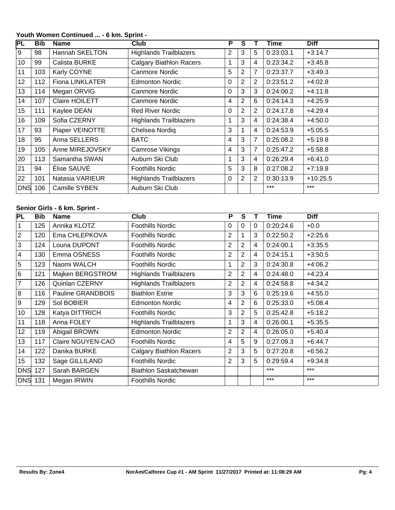## **PL Bib Name Club P S T Time Diff** 9 98 | Hannah SKELTON | Highlands Trailblazers | 2 3 5 0:23:03.1 +3:14.7 10 99 Calista BURKE Calgary Biathlon Racers 1 3 4 0:23:34.2 +3:45.8 103 Karly COYNE Canmore Nordic 5 2 7 0:23:37.7 +3:49.3 112 Fiona LINKLATER Edmonton Nordic 0 2 2 0:23:51.2 +4:02.8 114 Megan ORVIG Canmore Nordic 0 3 3 0:24:00.2 +4:11.8 107 Claire HOILETT Canmore Nordic 4 2 6 0:24:14.3 +4:25.9 15 | 111 | Kaylee DEAN Red River Nordic | 0 | 2 | 2 | 0:24:17.8 | +4:29.4 109 Sofia CZERNY Highlands Trailblazers 1 3 4 0:24:38.4 +4:50.0 17 | 93 | Piaper VEINOTTE | Chelsea Nordiq | 3 | 1 | 4 | 0:24:53.9 | +5:05.5 95 Anna SELLERS BATC 4 3 7 0:25:08.2 +5:19.8 19 105 Anne MIREJOVSKY Camrose Vikings 4 3 7 0:25:47.2 +5:58.8 20 | 113 | Samantha SWAN | Auburn Ski Club | 1 | 3 | 4 | 0:26:29.4 | +6:41.0 94 Élise SAUVÉ Foothills Nordic 5 3 8 0:27:08.2 +7:19.8 101 Natasia VARIEUR Highlands Trailblazers 0 2 2 0:30:13.9 +10:25.5 DNS 106 Camille SYBEN Auburn Ski Club **Auburn Ski Club** \*\*\* \*\*\* \*\*\*

#### **Youth Women Continued ... - 6 km. Sprint -**

#### **Senior Girls - 6 km. Sprint -**

| PL             | <b>Bib</b> | <b>Name</b>       | Club                           | P              | S              |   | Time      | <b>Diff</b> |
|----------------|------------|-------------------|--------------------------------|----------------|----------------|---|-----------|-------------|
| 1              | 125        | Annika KLOTZ      | Foothills Nordic               | $\Omega$       | $\Omega$       | 0 | 0:20:24.6 | $+0.0$      |
| $ 2\rangle$    | 120        | Ema CHLEPKOVA     | <b>Foothills Nordic</b>        | 2              |                | 3 | 0:22:50.2 | $+2:25.6$   |
| $\overline{3}$ | 124        | Louna DUPONT      | <b>Foothills Nordic</b>        | $\overline{2}$ | $\overline{2}$ | 4 | 0:24:00.1 | $+3:35.5$   |
| $\vert 4$      | 130        | Emma OSNESS       | <b>Foothills Nordic</b>        | $\overline{2}$ | 2              | 4 | 0:24:15.1 | $+3:50.5$   |
| $\overline{5}$ | 123        | Naomi WALCH       | <b>Foothills Nordic</b>        | 1              | 2              | 3 | 0:24:30.8 | $+4:06.2$   |
| 6              | 121        | Majken BERGSTROM  | <b>Highlands Trailblazers</b>  | $\overline{2}$ | 2              | 4 | 0:24:48.0 | $+4:23.4$   |
| $\overline{7}$ | 126        | Quinlan CZERNY    | <b>Highlands Trailblazers</b>  | 2              | 2              | 4 | 0:24:58.8 | $+4:34.2$   |
| 8              | 116        | Pauline GRANDBOIS | <b>Biathlon Estrie</b>         | 3              | 3              | 6 | 0:25:19.6 | $+4:55.0$   |
| l 9            | 129        | Sol BOBIER        | <b>Edmonton Nordic</b>         | 4              | 2              | 6 | 0:25:33.0 | $+5:08.4$   |
| 10             | 128        | Katya DITTRICH    | <b>Foothills Nordic</b>        | 3              | 2              | 5 | 0:25:42.8 | $+5:18.2$   |
| 11             | 118        | Anna FOLEY        | <b>Highlands Trailblazers</b>  | 1              | 3              | 4 | 0:26:00.1 | $+5:35.5$   |
| 12             | 119        | Abigail BROWN     | <b>Edmonton Nordic</b>         | $\overline{2}$ | 2              | 4 | 0:26:05.0 | $+5:40.4$   |
| 13             | 117        | Claire NGUYEN-CAO | <b>Foothills Nordic</b>        | 4              | 5              | 9 | 0:27:09.3 | $+6:44.7$   |
| 14             | 122        | Danika BURKE      | <b>Calgary Biathlon Racers</b> | $\overline{2}$ | 3              | 5 | 0:27:20.8 | $+6:56.2$   |
| 15             | 132        | Sage GILLILAND    | Foothills Nordic               | 2              | 3              | 5 | 0:29:59.4 | $+9:34.8$   |
| <b>DNS</b>     | 127        | Sarah BARGEN      | Biathlon Saskatchewan          |                |                |   | $***$     | $***$       |
| <b>DNS</b> 131 |            | Megan IRWIN       | <b>Foothills Nordic</b>        |                |                |   | $***$     | $***$       |